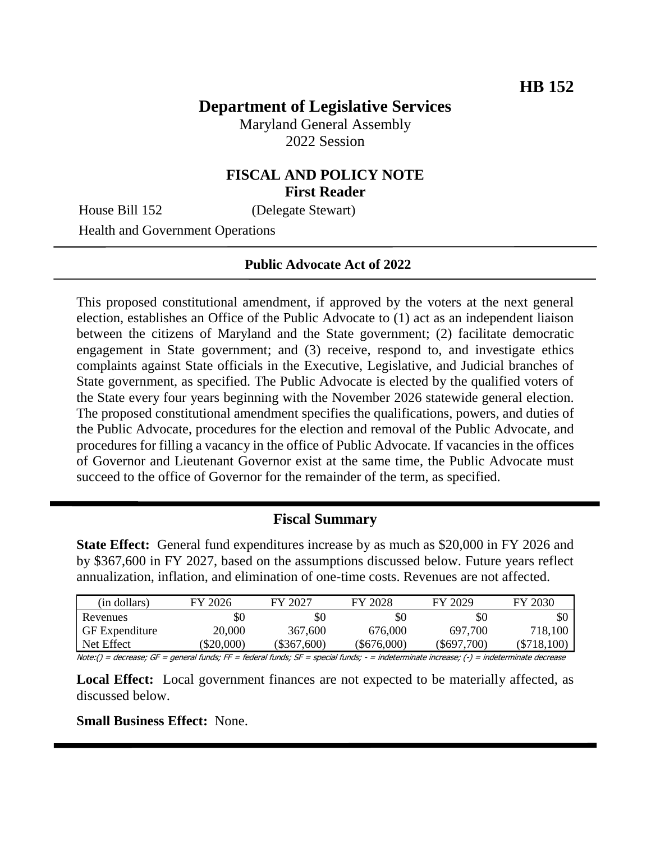# **Department of Legislative Services**

Maryland General Assembly 2022 Session

# **FISCAL AND POLICY NOTE First Reader**

House Bill 152 (Delegate Stewart)

Health and Government Operations

#### **Public Advocate Act of 2022**

This proposed constitutional amendment, if approved by the voters at the next general election, establishes an Office of the Public Advocate to (1) act as an independent liaison between the citizens of Maryland and the State government; (2) facilitate democratic engagement in State government; and (3) receive, respond to, and investigate ethics complaints against State officials in the Executive, Legislative, and Judicial branches of State government, as specified. The Public Advocate is elected by the qualified voters of the State every four years beginning with the November 2026 statewide general election. The proposed constitutional amendment specifies the qualifications, powers, and duties of the Public Advocate, procedures for the election and removal of the Public Advocate, and procedures for filling a vacancy in the office of Public Advocate. If vacancies in the offices of Governor and Lieutenant Governor exist at the same time, the Public Advocate must succeed to the office of Governor for the remainder of the term, as specified.

## **Fiscal Summary**

**State Effect:** General fund expenditures increase by as much as \$20,000 in FY 2026 and by \$367,600 in FY 2027, based on the assumptions discussed below. Future years reflect annualization, inflation, and elimination of one-time costs. Revenues are not affected.

| (in dollars)     | FY 2026  | FY 2027       | FY 2028     | FY 2029     | FY 2030     |
|------------------|----------|---------------|-------------|-------------|-------------|
| Revenues         | \$0      | \$0           | \$0         | \$0         | \$0         |
| l GF Expenditure | 20,000   | 367,600       | 676,000     | 697,700     | 718,100     |
| Net Effect       | \$20,000 | $(\$367,600)$ | (\$676,000) | (\$697,700) | (\$718,100) |

Note:() = decrease; GF = general funds; FF = federal funds; SF = special funds; - = indeterminate increase; (-) = indeterminate decrease

**Local Effect:** Local government finances are not expected to be materially affected, as discussed below.

**Small Business Effect:** None.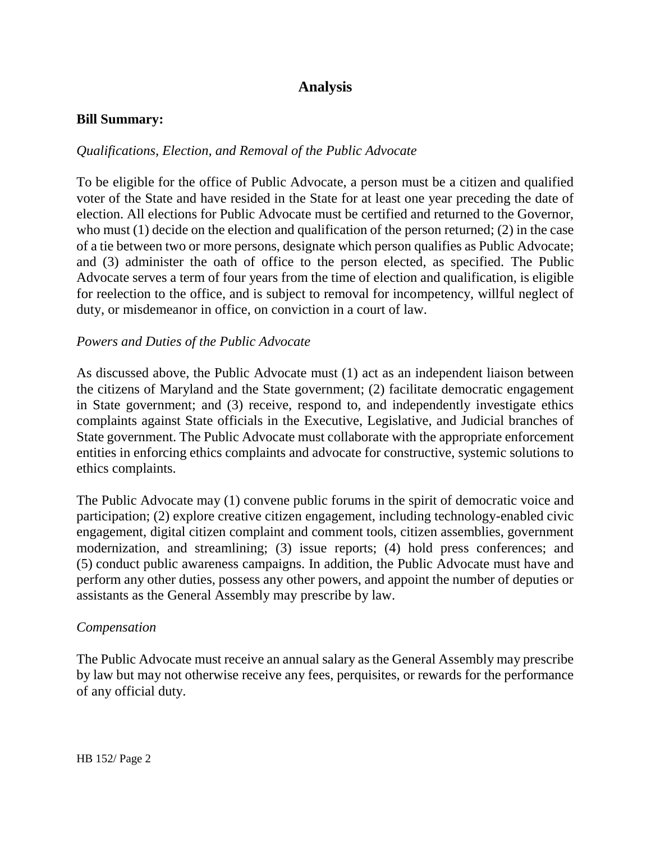# **Analysis**

### **Bill Summary:**

## *Qualifications, Election, and Removal of the Public Advocate*

To be eligible for the office of Public Advocate, a person must be a citizen and qualified voter of the State and have resided in the State for at least one year preceding the date of election. All elections for Public Advocate must be certified and returned to the Governor, who must (1) decide on the election and qualification of the person returned; (2) in the case of a tie between two or more persons, designate which person qualifies as Public Advocate; and (3) administer the oath of office to the person elected, as specified. The Public Advocate serves a term of four years from the time of election and qualification, is eligible for reelection to the office, and is subject to removal for incompetency, willful neglect of duty, or misdemeanor in office, on conviction in a court of law.

#### *Powers and Duties of the Public Advocate*

As discussed above, the Public Advocate must (1) act as an independent liaison between the citizens of Maryland and the State government; (2) facilitate democratic engagement in State government; and (3) receive, respond to, and independently investigate ethics complaints against State officials in the Executive, Legislative, and Judicial branches of State government. The Public Advocate must collaborate with the appropriate enforcement entities in enforcing ethics complaints and advocate for constructive, systemic solutions to ethics complaints.

The Public Advocate may (1) convene public forums in the spirit of democratic voice and participation; (2) explore creative citizen engagement, including technology-enabled civic engagement, digital citizen complaint and comment tools, citizen assemblies, government modernization, and streamlining; (3) issue reports; (4) hold press conferences; and (5) conduct public awareness campaigns. In addition, the Public Advocate must have and perform any other duties, possess any other powers, and appoint the number of deputies or assistants as the General Assembly may prescribe by law.

#### *Compensation*

The Public Advocate must receive an annual salary as the General Assembly may prescribe by law but may not otherwise receive any fees, perquisites, or rewards for the performance of any official duty.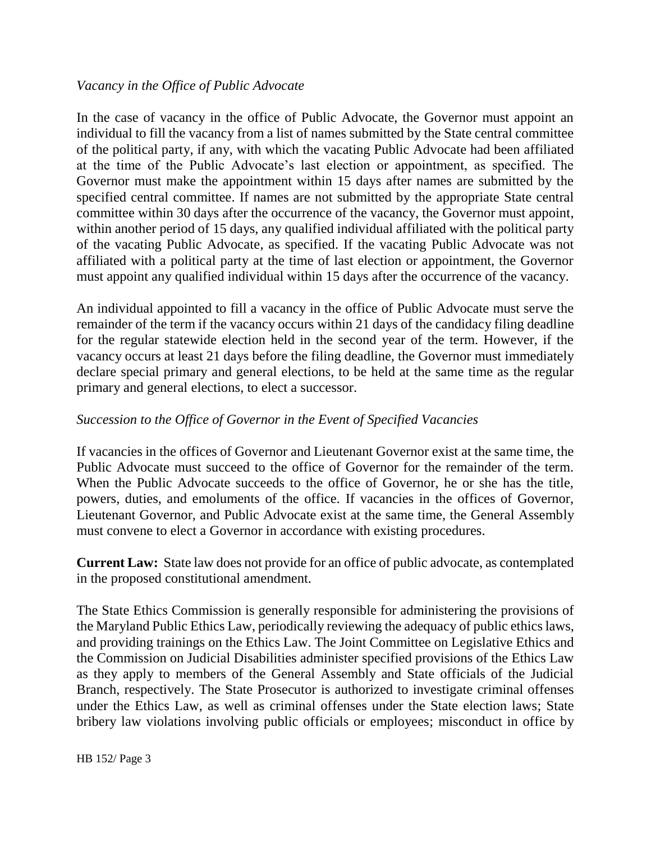# *Vacancy in the Office of Public Advocate*

In the case of vacancy in the office of Public Advocate, the Governor must appoint an individual to fill the vacancy from a list of names submitted by the State central committee of the political party, if any, with which the vacating Public Advocate had been affiliated at the time of the Public Advocate's last election or appointment, as specified. The Governor must make the appointment within 15 days after names are submitted by the specified central committee. If names are not submitted by the appropriate State central committee within 30 days after the occurrence of the vacancy, the Governor must appoint, within another period of 15 days, any qualified individual affiliated with the political party of the vacating Public Advocate, as specified. If the vacating Public Advocate was not affiliated with a political party at the time of last election or appointment, the Governor must appoint any qualified individual within 15 days after the occurrence of the vacancy.

An individual appointed to fill a vacancy in the office of Public Advocate must serve the remainder of the term if the vacancy occurs within 21 days of the candidacy filing deadline for the regular statewide election held in the second year of the term. However, if the vacancy occurs at least 21 days before the filing deadline, the Governor must immediately declare special primary and general elections, to be held at the same time as the regular primary and general elections, to elect a successor.

# *Succession to the Office of Governor in the Event of Specified Vacancies*

If vacancies in the offices of Governor and Lieutenant Governor exist at the same time, the Public Advocate must succeed to the office of Governor for the remainder of the term. When the Public Advocate succeeds to the office of Governor, he or she has the title, powers, duties, and emoluments of the office. If vacancies in the offices of Governor, Lieutenant Governor, and Public Advocate exist at the same time, the General Assembly must convene to elect a Governor in accordance with existing procedures.

**Current Law:** State law does not provide for an office of public advocate, as contemplated in the proposed constitutional amendment.

The State Ethics Commission is generally responsible for administering the provisions of the Maryland Public Ethics Law, periodically reviewing the adequacy of public ethics laws, and providing trainings on the Ethics Law. The Joint Committee on Legislative Ethics and the Commission on Judicial Disabilities administer specified provisions of the Ethics Law as they apply to members of the General Assembly and State officials of the Judicial Branch, respectively. The State Prosecutor is authorized to investigate criminal offenses under the Ethics Law, as well as criminal offenses under the State election laws; State bribery law violations involving public officials or employees; misconduct in office by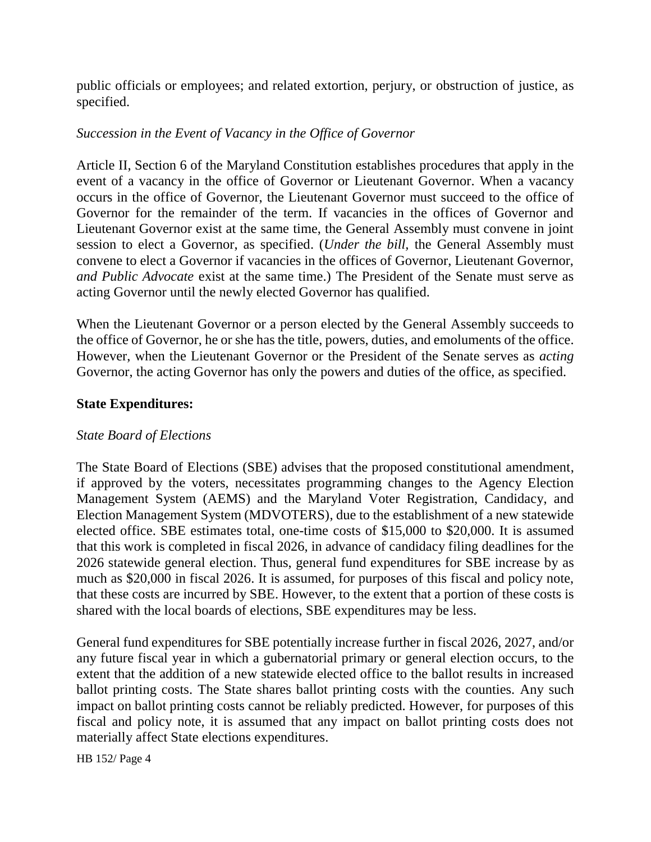public officials or employees; and related extortion, perjury, or obstruction of justice, as specified.

# *Succession in the Event of Vacancy in the Office of Governor*

Article II, Section 6 of the Maryland Constitution establishes procedures that apply in the event of a vacancy in the office of Governor or Lieutenant Governor. When a vacancy occurs in the office of Governor, the Lieutenant Governor must succeed to the office of Governor for the remainder of the term. If vacancies in the offices of Governor and Lieutenant Governor exist at the same time, the General Assembly must convene in joint session to elect a Governor, as specified. (*Under the bill,* the General Assembly must convene to elect a Governor if vacancies in the offices of Governor, Lieutenant Governor, *and Public Advocate* exist at the same time.) The President of the Senate must serve as acting Governor until the newly elected Governor has qualified.

When the Lieutenant Governor or a person elected by the General Assembly succeeds to the office of Governor, he or she has the title, powers, duties, and emoluments of the office. However, when the Lieutenant Governor or the President of the Senate serves as *acting* Governor, the acting Governor has only the powers and duties of the office, as specified.

## **State Expenditures:**

## *State Board of Elections*

The State Board of Elections (SBE) advises that the proposed constitutional amendment, if approved by the voters, necessitates programming changes to the Agency Election Management System (AEMS) and the Maryland Voter Registration, Candidacy, and Election Management System (MDVOTERS), due to the establishment of a new statewide elected office. SBE estimates total, one-time costs of \$15,000 to \$20,000. It is assumed that this work is completed in fiscal 2026, in advance of candidacy filing deadlines for the 2026 statewide general election. Thus, general fund expenditures for SBE increase by as much as \$20,000 in fiscal 2026. It is assumed, for purposes of this fiscal and policy note, that these costs are incurred by SBE. However, to the extent that a portion of these costs is shared with the local boards of elections, SBE expenditures may be less.

General fund expenditures for SBE potentially increase further in fiscal 2026, 2027, and/or any future fiscal year in which a gubernatorial primary or general election occurs, to the extent that the addition of a new statewide elected office to the ballot results in increased ballot printing costs. The State shares ballot printing costs with the counties. Any such impact on ballot printing costs cannot be reliably predicted. However, for purposes of this fiscal and policy note, it is assumed that any impact on ballot printing costs does not materially affect State elections expenditures.

HB 152/ Page 4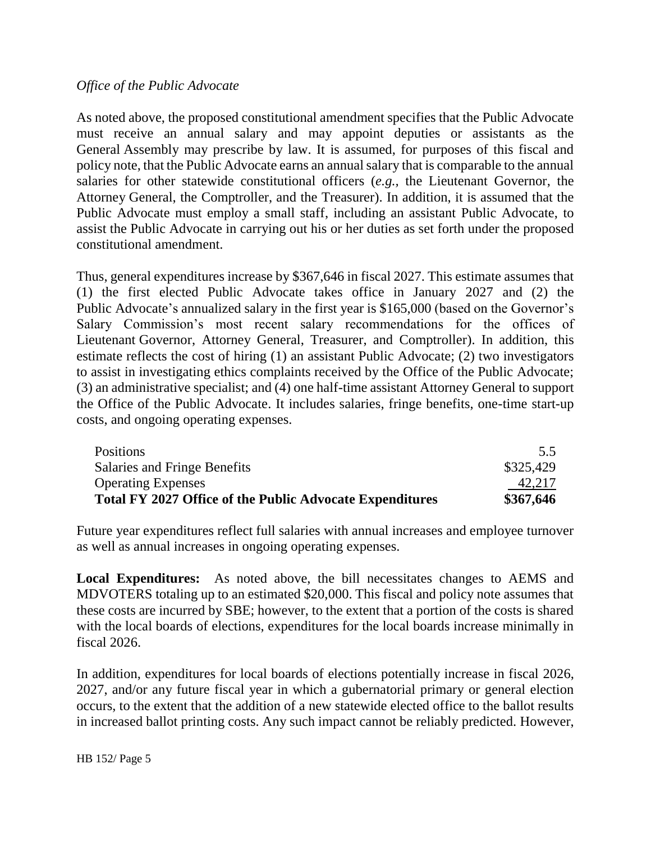# *Office of the Public Advocate*

As noted above, the proposed constitutional amendment specifies that the Public Advocate must receive an annual salary and may appoint deputies or assistants as the General Assembly may prescribe by law. It is assumed, for purposes of this fiscal and policy note, that the Public Advocate earns an annual salary that is comparable to the annual salaries for other statewide constitutional officers (*e.g.,* the Lieutenant Governor, the Attorney General, the Comptroller, and the Treasurer). In addition, it is assumed that the Public Advocate must employ a small staff, including an assistant Public Advocate, to assist the Public Advocate in carrying out his or her duties as set forth under the proposed constitutional amendment.

Thus, general expenditures increase by \$367,646 in fiscal 2027. This estimate assumes that (1) the first elected Public Advocate takes office in January 2027 and (2) the Public Advocate's annualized salary in the first year is \$165,000 (based on the Governor's Salary Commission's most recent salary recommendations for the offices of Lieutenant Governor, Attorney General, Treasurer, and Comptroller). In addition, this estimate reflects the cost of hiring (1) an assistant Public Advocate; (2) two investigators to assist in investigating ethics complaints received by the Office of the Public Advocate; (3) an administrative specialist; and (4) one half-time assistant Attorney General to support the Office of the Public Advocate. It includes salaries, fringe benefits, one-time start-up costs, and ongoing operating expenses.

| <b>Positions</b>                                                | 5.5       |
|-----------------------------------------------------------------|-----------|
| Salaries and Fringe Benefits                                    | \$325,429 |
| <b>Operating Expenses</b>                                       | 42,217    |
| <b>Total FY 2027 Office of the Public Advocate Expenditures</b> | \$367,646 |

Future year expenditures reflect full salaries with annual increases and employee turnover as well as annual increases in ongoing operating expenses.

**Local Expenditures:** As noted above, the bill necessitates changes to AEMS and MDVOTERS totaling up to an estimated \$20,000. This fiscal and policy note assumes that these costs are incurred by SBE; however, to the extent that a portion of the costs is shared with the local boards of elections, expenditures for the local boards increase minimally in fiscal 2026.

In addition, expenditures for local boards of elections potentially increase in fiscal 2026, 2027, and/or any future fiscal year in which a gubernatorial primary or general election occurs, to the extent that the addition of a new statewide elected office to the ballot results in increased ballot printing costs. Any such impact cannot be reliably predicted. However,